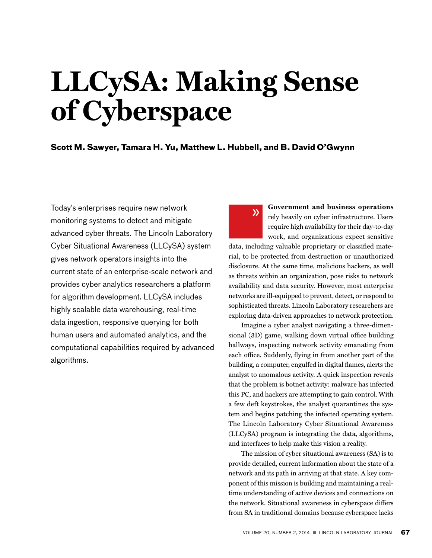# **LLCySA: Making Sense of Cyberspace**

**Scott M. Sawyer, Tamara H. Yu, Matthew L. Hubbell, and B. David O'Gwynn**

 $\lambda$ 

Today's enterprises require new network monitoring systems to detect and mitigate advanced cyber threats. The Lincoln Laboratory Cyber Situational Awareness (LLCySA) system gives network operators insights into the current state of an enterprise-scale network and provides cyber analytics researchers a platform for algorithm development. LLCySA includes highly scalable data warehousing, real-time data ingestion, responsive querying for both human users and automated analytics, and the computational capabilities required by advanced algorithms.

**Government and business operations**  rely heavily on cyber infrastructure. Users require high availability for their day-to-day work, and organizations expect sensitive

data, including valuable proprietary or classified material, to be protected from destruction or unauthorized disclosure. At the same time, malicious hackers, as well as threats within an organization, pose risks to network availability and data security. However, most enterprise networks are ill-equipped to prevent, detect, or respond to sophisticated threats. Lincoln Laboratory researchers are exploring data-driven approaches to network protection.

Imagine a cyber analyst navigating a three-dimensional (3D) game, walking down virtual office building hallways, inspecting network activity emanating from each office. Suddenly, flying in from another part of the building, a computer, engulfed in digital flames, alerts the analyst to anomalous activity. A quick inspection reveals that the problem is botnet activity: malware has infected this PC, and hackers are attempting to gain control. With a few deft keystrokes, the analyst quarantines the system and begins patching the infected operating system. The Lincoln Laboratory Cyber Situational Awareness (LLCySA) program is integrating the data, algorithms, and interfaces to help make this vision a reality.

The mission of cyber situational awareness (SA) is to provide detailed, current information about the state of a network and its path in arriving at that state. A key component of this mission is building and maintaining a realtime understanding of active devices and connections on the network. Situational awareness in cyberspace differs from SA in traditional domains because cyberspace lacks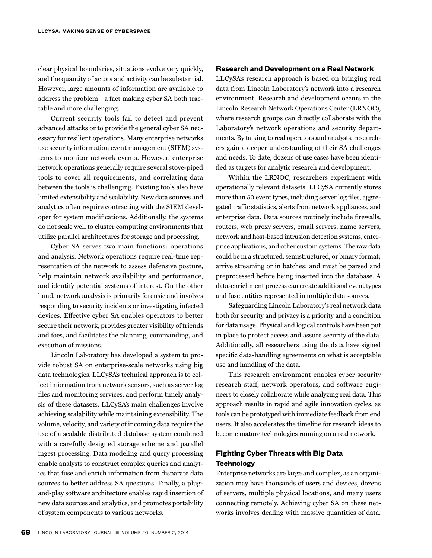clear physical boundaries, situations evolve very quickly, and the quantity of actors and activity can be substantial. However, large amounts of information are available to address the problem—a fact making cyber SA both tractable and more challenging.

Current security tools fail to detect and prevent advanced attacks or to provide the general cyber SA necessary for resilient operations. Many enterprise networks use security information event management (SIEM) systems to monitor network events. However, enterprise network operations generally require several stove-piped tools to cover all requirements, and correlating data between the tools is challenging. Existing tools also have limited extensibility and scalability. New data sources and analytics often require contracting with the SIEM developer for system modifications. Additionally, the systems do not scale well to cluster computing environments that utilize parallel architectures for storage and processing.

Cyber SA serves two main functions: operations and analysis. Network operations require real-time representation of the network to assess defensive posture, help maintain network availability and performance, and identify potential systems of interest. On the other hand, network analysis is primarily forensic and involves responding to security incidents or investigating infected devices. Effective cyber SA enables operators to better secure their network, provides greater visibility of friends and foes, and facilitates the planning, commanding, and execution of missions.

Lincoln Laboratory has developed a system to provide robust SA on enterprise-scale networks using big data technologies. LLCySA's technical approach is to collect information from network sensors, such as server log files and monitoring services, and perform timely analysis of these datasets. LLCySA's main challenges involve achieving scalability while maintaining extensibility. The volume, velocity, and variety of incoming data require the use of a scalable distributed database system combined with a carefully designed storage scheme and parallel ingest processing. Data modeling and query processing enable analysts to construct complex queries and analytics that fuse and enrich information from disparate data sources to better address SA questions. Finally, a plugand-play software architecture enables rapid insertion of new data sources and analytics, and promotes portability of system components to various networks.

# **Research and Development on a Real Network**

LLCySA's research approach is based on bringing real data from Lincoln Laboratory's network into a research environment. Research and development occurs in the Lincoln Research Network Operations Center (LRNOC), where research groups can directly collaborate with the Laboratory's network operations and security departments. By talking to real operators and analysts, researchers gain a deeper understanding of their SA challenges and needs. To date, dozens of use cases have been identified as targets for analytic research and development.

Within the LRNOC, researchers experiment with operationally relevant datasets. LLCySA currently stores more than 50 event types, including server log files, aggregated traffic statistics, alerts from network appliances, and enterprise data. Data sources routinely include firewalls, routers, web proxy servers, email servers, name servers, network and host-based intrusion detection systems, enterprise applications, and other custom systems. The raw data could be in a structured, semistructured, or binary format; arrive streaming or in batches; and must be parsed and preprocessed before being inserted into the database. A data-enrichment process can create additional event types and fuse entities represented in multiple data sources.

Safeguarding Lincoln Laboratory's real network data both for security and privacy is a priority and a condition for data usage. Physical and logical controls have been put in place to protect access and assure security of the data. Additionally, all researchers using the data have signed specific data-handling agreements on what is acceptable use and handling of the data.

This research environment enables cyber security research staff, network operators, and software engineers to closely collaborate while analyzing real data. This approach results in rapid and agile innovation cycles, as tools can be prototyped with immediate feedback from end users. It also accelerates the timeline for research ideas to become mature technologies running on a real network.

# **Fighting Cyber Threats with Big Data Technology**

Enterprise networks are large and complex, as an organization may have thousands of users and devices, dozens of servers, multiple physical locations, and many users connecting remotely. Achieving cyber SA on these networks involves dealing with massive quantities of data.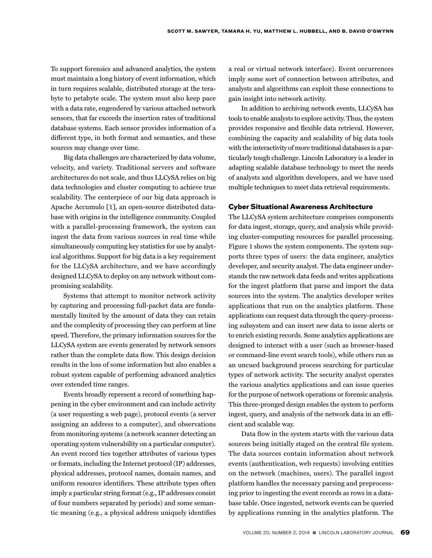To support forensics and advanced analytics, the system must maintain a long history of event information, which in turn requires scalable, distributed storage at the terabyte to petabyte scale. The system must also keep pace with a data rate, engendered by various attached network sensors, that far exceeds the insertion rates of traditional database systems. Each sensor provides information of a different type, in both format and semantics, and these sources may change over time.

Big data challenges are characterized by data volume, velocity, and variety. Traditional servers and software architectures do not scale, and thus LLCySA relies on big data technologies and cluster computing to achieve true scalability. The centerpiece of our big data approach is Apache Accumulo [1], an open-source distributed database with origins in the intelligence community. Coupled with a parallel-processing framework, the system can ingest the data from various sources in real time while simultaneously computing key statistics for use by analytical algorithms. Support for big data is a key requirement for the LLCySA architecture, and we have accordingly designed LLCySA to deploy on any network without compromising scalability.

Systems that attempt to monitor network activity by capturing and processing full-packet data are fundamentally limited by the amount of data they can retain and the complexity of processing they can perform at line speed. Therefore, the primary information sources for the LLCySA system are events generated by network sensors rather than the complete data flow. This design decision results in the loss of some information but also enables a robust system capable of performing advanced analytics over extended time ranges.

Events broadly represent a record of something happening in the cyber environment and can include activity (a user requesting a web page), protocol events (a server assigning an address to a computer), and observations from monitoring systems (a network scanner detecting an operating system vulnerability on a particular computer). An event record ties together attributes of various types or formats, including the Internet protocol (IP) addresses, physical addresses, protocol names, domain names, and uniform resource identifiers. These attribute types often imply a particular string format (e.g., IP addresses consist of four numbers separated by periods) and some semantic meaning (e.g., a physical address uniquely identifies

a real or virtual network interface). Event occurrences imply some sort of connection between attributes, and analysts and algorithms can exploit these connections to gain insight into network activity.

In addition to archiving network events, LLCySA has tools to enable analysts to explore activity. Thus, the system provides responsive and flexible data retrieval. However, combining the capacity and scalability of big data tools with the interactivity of more traditional databases is a particularly tough challenge. Lincoln Laboratory is a leader in adapting scalable database technology to meet the needs of analysts and algorithm developers, and we have used multiple techniques to meet data retrieval requirements.

## **Cyber Situational Awareness Architecture**

The LLCySA system architecture comprises components for data ingest, storage, query, and analysis while providing cluster-computing resources for parallel processing. Figure 1 shows the system components. The system supports three types of users: the data engineer, analytics developer, and security analyst. The data engineer understands the raw network data feeds and writes applications for the ingest platform that parse and import the data sources into the system. The analytics developer writes applications that run on the analytics platform. These applications can request data through the query-processing subsystem and can insert new data to issue alerts or to enrich existing records. Some analytics applications are designed to interact with a user (such as browser-based or command-line event search tools), while others run as an uncued background process searching for particular types of network activity. The security analyst operates the various analytics applications and can issue queries for the purpose of network operations or forensic analysis. This three-pronged design enables the system to perform ingest, query, and analysis of the network data in an efficient and scalable way.

Data flow in the system starts with the various data sources being initially staged on the central file system. The data sources contain information about network events (authentication, web requests) involving entities on the network (machines, users). The parallel ingest platform handles the necessary parsing and preprocessing prior to ingesting the event records as rows in a database table. Once ingested, network events can be queried by applications running in the analytics platform. The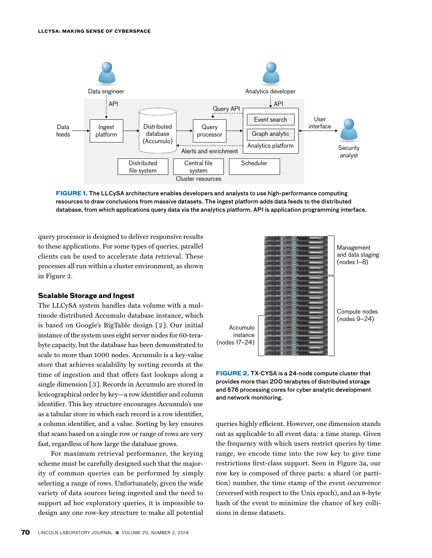

**FIGURE 1.** The LLCySA architecture enables developers and analysts to use high-performance computing resources to draw conclusions from massive datasets. The ingest platform adds data feeds to the distributed database, from which applications query data via the analytics platform. API is application programming interface.

query processor is designed to deliver responsive results to these applications. For some types of queries, parallel clients can be used to accelerate data retrieval. These processes all run within a cluster environment, as shown in Figure 2.

### **Scalable Storage and Ingest**

The LLCySA system handles data volume with a multinode distributed Accumulo database instance, which is based on Google's BigTable design [2]. Our initial instance of the system uses eight server nodes for 60-terabyte capacity, but the database has been demonstrated to scale to more than 1000 nodes. Accumulo is a key-value store that achieves scalability by sorting records at the time of ingestion and that offers fast lookups along a single dimension [3]. Records in Accumulo are stored in lexicographical order by key—a row identifier and column identifier. This key structure encourages Accumulo's use as a tabular store in which each record is a row identifier, a column identifier, and a value. Sorting by key ensures that scans based on a single row or range of rows are very fast, regardless of how large the database grows.

For maximum retrieval performance, the keying scheme must be carefully designed such that the majority of common queries can be performed by simply selecting a range of rows. Unfortunately, given the wide variety of data sources being ingested and the need to support ad hoc exploratory queries, it is impossible to design any one row-key structure to make all potential



**FIGURE 2.** TX-CYSA is a 24-node compute cluster that provides more than 200 terabytes of distributed storage and 576 processing cores for cyber analytic development and network monitoring.

queries highly efficient. However, one dimension stands out as applicable to all event data: a time stamp. Given the frequency with which users restrict queries by time range, we encode time into the row key to give time restrictions first-class support. Seen in Figure 3a, our row key is composed of three parts: a shard (or partition) number, the time stamp of the event occurrence (reversed with respect to the Unix epoch), and an 8-byte hash of the event to minimize the chance of key collisions in dense datasets.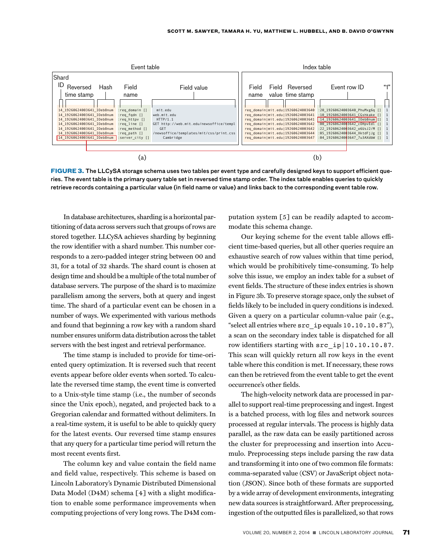

**FIGURE 3.** The LLCySA storage schema uses two tables per event type and carefully designed keys to support efficient queries. The event table is the primary query table set in reversed time stamp order. The index table enables queries to quickly retrieve records containing a particular value (in field name or value) and links back to the corresponding event table row.

In database architectures, sharding is a horizontal partitioning of data across servers such that groups of rows are stored together. LLCySA achieves sharding by beginning the row identifier with a shard number. This number corresponds to a zero-padded integer string between 00 and 31, for a total of 32 shards. The shard count is chosen at design time and should be a multiple of the total number of database servers. The purpose of the shard is to maximize parallelism among the servers, both at query and ingest time. The shard of a particular event can be chosen in a number of ways. We experimented with various methods and found that beginning a row key with a random shard number ensures uniform data distribution across the tablet servers with the best ingest and retrieval performance.

The time stamp is included to provide for time-oriented query optimization. It is reversed such that recent events appear before older events when sorted. To calculate the reversed time stamp, the event time is converted to a Unix-style time stamp (i.e., the number of seconds since the Unix epoch), negated, and projected back to a Gregorian calendar and formatted without delimiters. In a real-time system, it is useful to be able to quickly query for the latest events. Our reversed time stamp ensures that any query for a particular time period will return the most recent events first.

The column key and value contain the field name and field value, respectively. This scheme is based on Lincoln Laboratory's Dynamic Distributed Dimensional Data Model (D4M) schema [4] with a slight modification to enable some performance improvements when computing projections of very long rows. The D4M computation system [5] can be readily adapted to accommodate this schema change.

Our keying scheme for the event table allows efficient time-based queries, but all other queries require an exhaustive search of row values within that time period, which would be prohibitively time-consuming. To help solve this issue, we employ an index table for a subset of event fields. The structure of these index entries is shown in Figure 3b. To preserve storage space, only the subset of fields likely to be included in query conditions is indexed. Given a query on a particular column-value pair (e.g., "select all entries where src\_ip equals 10.10.10.87"), a scan on the secondary index table is dispatched for all row identifiers starting with src\_ip|10.10.10.87. This scan will quickly return all row keys in the event table where this condition is met. If necessary, these rows can then be retrieved from the event table to get the event occurrence's other fields.

The high-velocity network data are processed in parallel to support real-time preprocessing and ingest. Ingest is a batched process, with log files and network sources processed at regular intervals. The process is highly data parallel, as the raw data can be easily partitioned across the cluster for preprocessing and insertion into Accumulo. Preprocessing steps include parsing the raw data and transforming it into one of two common file formats: comma-separated value (CSV) or JavaScript object notation (JSON). Since both of these formats are supported by a wide array of development environments, integrating new data sources is straightforward. After preprocessing, ingestion of the outputted files is parallelized, so that rows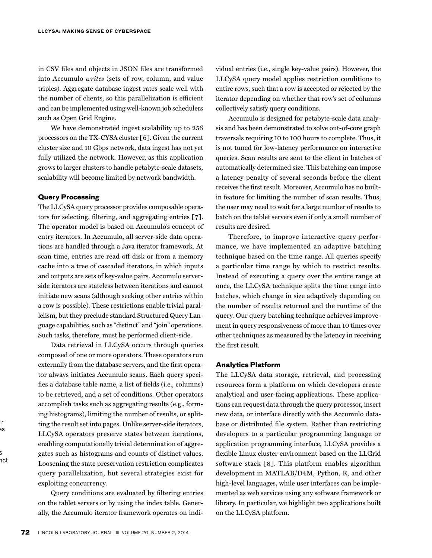in CSV files and objects in JSON files are transformed into Accumulo *writes* (sets of row, column, and value triples). Aggregate database ingest rates scale well with the number of clients, so this parallelization is efficient and can be implemented using well-known job schedulers such as Open Grid Engine.

We have demonstrated ingest scalability up to 256 processors on the TX-CYSA cluster [6]. Given the current cluster size and 10 Gbps network, data ingest has not yet fully utilized the network. However, as this application grows to larger clusters to handle petabyte-scale datasets, scalability will become limited by network bandwidth.

## **Query Processing**

The LLCySA query processor provides composable operators for selecting, filtering, and aggregating entries [7]. The operator model is based on Accumulo's concept of entry iterators. In Accumulo, all server-side data operations are handled through a Java iterator framework. At scan time, entries are read off disk or from a memory cache into a tree of cascaded iterators, in which inputs and outputs are sets of key-value pairs. Accumulo serverside iterators are stateless between iterations and cannot initiate new scans (although seeking other entries within a row is possible). These restrictions enable trivial parallelism, but they preclude standard Structured Query Language capabilities, such as "distinct" and "join" operations. Such tasks, therefore, must be performed client-side.

Data retrieval in LLCySA occurs through queries composed of one or more operators. These operators run externally from the database servers, and the first operator always initiates Accumulo scans. Each query specifies a database table name, a list of fields (i.e., columns) to be retrieved, and a set of conditions. Other operators accomplish tasks such as aggregating results (e.g., forming histograms), limiting the number of results, or splitting the result set into pages. Unlike server-side iterators, LLCySA operators preserve states between iterations, enabling computationally trivial determination of aggregates such as histograms and counts of distinct values. Loosening the state preservation restriction complicates query parallelization, but several strategies exist for exploiting concurrency.

Query conditions are evaluated by filtering entries on the tablet servers or by using the index table. Generally, the Accumulo iterator framework operates on individual entries (i.e., single key-value pairs). However, the LLCySA query model applies restriction conditions to entire rows, such that a row is accepted or rejected by the iterator depending on whether that row's set of columns collectively satisfy query conditions.

Accumulo is designed for petabyte-scale data analysis and has been demonstrated to solve out-of-core graph traversals requiring 10 to 100 hours to complete. Thus, it is not tuned for low-latency performance on interactive queries. Scan results are sent to the client in batches of automatically determined size. This batching can impose a latency penalty of several seconds before the client receives the first result. Moreover, Accumulo has no builtin feature for limiting the number of scan results. Thus, the user may need to wait for a large number of results to batch on the tablet servers even if only a small number of results are desired.

Therefore, to improve interactive query performance, we have implemented an adaptive batching technique based on the time range. All queries specify a particular time range by which to restrict results. Instead of executing a query over the entire range at once, the LLCySA technique splits the time range into batches, which change in size adaptively depending on the number of results returned and the runtime of the query. Our query batching technique achieves improvement in query responsiveness of more than 10 times over other techniques as measured by the latency in receiving the first result.

# **Analytics Platform**

The LLCySA data storage, retrieval, and processing resources form a platform on which developers create analytical and user-facing applications. These applications can request data through the query processor, insert new data, or interface directly with the Accumulo database or distributed file system. Rather than restricting developers to a particular programming language or application programming interface, LLCySA provides a flexible Linux cluster environment based on the LLGrid software stack [8]. This platform enables algorithm development in MATLAB/D4M, Python, R, and other high-level languages, while user interfaces can be implemented as web services using any software framework or library. In particular, we highlight two applications built on the LLCySA platform.

Unlike server-side iterators, LLes.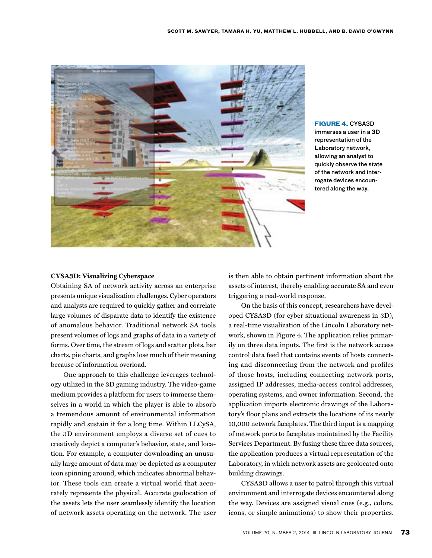

# **FIGURE 4.** CYSA3D

immerses a user in a 3D representation of the Laboratory network, allowing an analyst to quickly observe the state of the network and interrogate devices encountered along the way.

## **CYSA3D: Visualizing Cyberspace**

Obtaining SA of network activity across an enterprise presents unique visualization challenges. Cyber operators and analysts are required to quickly gather and correlate large volumes of disparate data to identify the existence of anomalous behavior. Traditional network SA tools present volumes of logs and graphs of data in a variety of forms. Over time, the stream of logs and scatter plots, bar charts, pie charts, and graphs lose much of their meaning because of information overload.

One approach to this challenge leverages technology utilized in the 3D gaming industry. The video-game medium provides a platform for users to immerse themselves in a world in which the player is able to absorb a tremendous amount of environmental information rapidly and sustain it for a long time. Within LLCySA, the 3D environment employs a diverse set of cues to creatively depict a computer's behavior, state, and location. For example, a computer downloading an unusually large amount of data may be depicted as a computer icon spinning around, which indicates abnormal behavior. These tools can create a virtual world that accurately represents the physical. Accurate geolocation of the assets lets the user seamlessly identify the location of network assets operating on the network. The user

is then able to obtain pertinent information about the assets of interest, thereby enabling accurate SA and even triggering a real-world response.

On the basis of this concept, researchers have developed CYSA3D (for cyber situational awareness in 3D), a real-time visualization of the Lincoln Laboratory network, shown in Figure 4. The application relies primarily on three data inputs. The first is the network access control data feed that contains events of hosts connecting and disconnecting from the network and profiles of those hosts, including connecting network ports, assigned IP addresses, media-access control addresses, operating systems, and owner information. Second, the application imports electronic drawings of the Laboratory's floor plans and extracts the locations of its nearly 10,000 network faceplates. The third input is a mapping of network ports to faceplates maintained by the Facility Services Department. By fusing these three data sources, the application produces a virtual representation of the Laboratory, in which network assets are geolocated onto building drawings.

CYSA3D allows a user to patrol through this virtual environment and interrogate devices encountered along the way. Devices are assigned visual cues (e.g., colors, icons, or simple animations) to show their properties.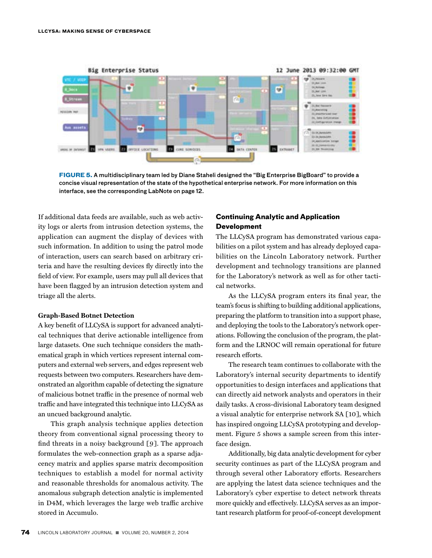

**FIGURE 5.** A multidisciplinary team led by Diane Staheli designed the "Big Enterprise BigBoard" to provide a concise visual representation of the state of the hypothetical enterprise network. For more information on this interface, see the corresponding LabNote on page 12.

If additional data feeds are available, such as web activity logs or alerts from intrusion detection systems, the application can augment the display of devices with such information. In addition to using the patrol mode of interaction, users can search based on arbitrary criteria and have the resulting devices fly directly into the field of view. For example, users may pull all devices that have been flagged by an intrusion detection system and triage all the alerts.

#### **Graph-Based Botnet Detection**

A key benefit of LLCySA is support for advanced analytical techniques that derive actionable intelligence from large datasets. One such technique considers the mathematical graph in which vertices represent internal computers and external web servers, and edges represent web requests between two computers. Researchers have demonstrated an algorithm capable of detecting the signature of malicious botnet traffic in the presence of normal web traffic and have integrated this technique into LLCySA as an uncued background analytic.

This graph analysis technique applies detection theory from conventional signal processing theory to find threats in a noisy background [9]. The approach formulates the web-connection graph as a sparse adjacency matrix and applies sparse matrix decomposition techniques to establish a model for normal activity and reasonable thresholds for anomalous activity. The anomalous subgraph detection analytic is implemented in D4M, which leverages the large web traffic archive stored in Accumulo.

# **Continuing Analytic and Application Development**

The LLCySA program has demonstrated various capabilities on a pilot system and has already deployed capabilities on the Lincoln Laboratory network. Further development and technology transitions are planned for the Laboratory's network as well as for other tactical networks.

As the LLCySA program enters its final year, the team's focus is shifting to building additional applications, preparing the platform to transition into a support phase, and deploying the tools to the Laboratory's network operations. Following the conclusion of the program, the platform and the LRNOC will remain operational for future research efforts.

The research team continues to collaborate with the Laboratory's internal security departments to identify opportunities to design interfaces and applications that can directly aid network analysts and operators in their daily tasks. A cross-divisional Laboratory team designed a visual analytic for enterprise network SA [10], which has inspired ongoing LLCySA prototyping and development. Figure 5 shows a sample screen from this interface design.

Additionally, big data analytic development for cyber security continues as part of the LLCySA program and through several other Laboratory efforts. Researchers are applying the latest data science techniques and the Laboratory's cyber expertise to detect network threats more quickly and effectively. LLCySA serves as an important research platform for proof-of-concept development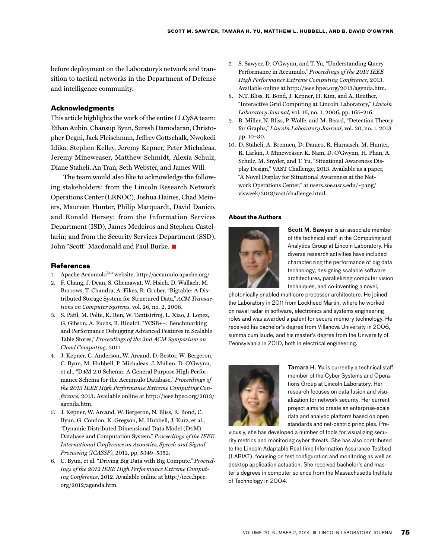before deployment on the Laboratory's network and transition to tactical networks in the Department of Defense and intelligence community.

# **Acknowledgments**

This article highlights the work of the entire LLCySA team: Ethan Aubin, Chansup Byun, Suresh Damodaran, Christopher Degni, Jack Fleischman, Jeffrey Gottschalk, Nwokedi Idika, Stephen Kelley, Jeremy Kepner, Peter Michaleas, Jeremy Mineweaser, Matthew Schmidt, Alexia Schulz, Diane Staheli, An Tran, Seth Webster, and James Will.

The team would also like to acknowledge the following stakeholders: from the Lincoln Research Network Operations Center (LRNOC), Joshua Haines, Chad Meiners, Maureen Hunter, Philip Marquardt, David Danico, and Ronald Hersey; from the Information Services Department (ISD), James Medeiros and Stephen Castellarin; and from the Security Services Department (SSD), John "Scott" Macdonald and Paul Burke.

#### **References**

- 1. Apache Accumolo<sup>Tm</sup> website, http://accumulo.apache.org/
- 2. F. Chang, J. Dean, S. Ghemawat, W. Hsieh, D. Wallach, M. Burrows, T. Chandra, A. Fikes, R. Gruber. "Bigtable: A Distributed Storage System for Structured Data," *ACM Transactions on Computer Systems*, vol. 26, no. 2, 2008.
- 3. S. Patil, M. Polte, K. Ren, W. Tantisiriroj, L. Xiao, J. Lopez, G. Gibson, A. Fuchs, B. Rinaldi. "YCSB++: Benchmarking and Performance Debugging Advanced Features in Scalable Table Stores," *Proceedings of the 2nd ACM Symposium on Cloud Computing,* 2011.
- 4. J. Kepner, C. Anderson, W. Arcand, D. Bestor, W. Bergeron, C. Byun, M. Hubbell, P. Michaleas, J. Mullen, D. O'Gwynn, et al., "D4M 2.0 Schema: A General Purpose High Performance Schema for the Accumulo Database," *Proceedings of the 2013 IEEE High Performance Extreme Computing Conference*, 2013. Available online at http://ieee.hpec.org/2013/ agenda.htm.
- 5. J. Kepner, W. Arcand, W. Bergeron, N. Bliss, R. Bond, C. Byun, G. Condon, K. Gregson, M. Hubbell, J. Kurz, et al., "Dynamic Distributed Dimensional Data Model (D4M) Database and Computation System," *Proceedings of the IEEE International Conference on Acoustics, Speech and Signal Processing (ICASSP),* 2012, pp. 5349–5352.
- 6. C. Byun, et al. "Driving Big Data with Big Compute." *Proceedings of the 2012 IEEE High Performance Extreme Computing Conference*, 2012. Available online at http://ieee.hpec. org/2012/agenda.htm.
- 7. S. Sawyer, D. O'Gwynn, and T. Yu, "Understanding Query Performance in Accumulo," *Proceedings of the 2013 IEEE High Performance Extreme Computing Conference*, 2013. Available online at http://ieee.hpec.org/2013/agenda.htm.
- 8. N.T. Bliss, R. Bond, J. Kepner, H. Kim, and A. Reuther, "Interactive Grid Computing at Lincoln Laboratory," *Lincoln Laboratory Journal*, vol. 16, no. 1, 2006, pp. 165–216.
- 9. B. Miller, N. Bliss, P. Wolfe, and M. Beard, "Detection Theory for Graphs," *Lincoln Laboratory Journal*, vol. 20, no. 1, 2013 pp. 10–30.
- 10. D. Staheli, A. Brennen, D. Danico, R. Harnasch, M. Hunter, R. Larkin, J. Mineweaser, K. Nam, D. O'Gwynn, H. Phan, A. Schulz, M. Snyder, and T. Yu, "Situational Awareness Display Design," VAST Challenge, 2013. Available as a paper, "A Novel Display for Situational Awareness at the Network Operations Center," at users.soe.uscs.edu/~pang/ visweek/2013/vast/challenge.html.

#### **About the Authors**



Scott M. Sawyer is an associate member of the technical staff in the Computing and Analytics Group at Lincoln Laboratory. His diverse research activities have included characterizing the performance of big data technology, designing scalable software architectures, parallelizing computer vision techniques, and co-inventing a novel,

photonically enabled multicore processor architecture. He joined the Laboratory in 2011 from Lockheed Martin, where he worked on naval radar in software, electronics and systems engineering roles and was awarded a patent for secure memory technology. He received his bachelor's degree from Villanova University in 2006, summa cum laude, and his master's degree from the University of Pennsylvania in 2010, both in electrical engineering.



Tamara H. Yu is currently a technical staff member of the Cyber Systems and Operations Group at Lincoln Laboratory. Her research focuses on data fusion and visualization for network security. Her current project aims to create an enterprise-scale data and analytic platform based on open standards and net-centric principles. Pre-

viously, she has developed a number of tools for visualizing security metrics and monitoring cyber threats. She has also contributed to the Lincoln Adaptable Real-time Information Assurance Testbed (LARIAT), focusing on test configuration and monitoring as well as desktop application actuation. She received bachelor's and master's degrees in computer science from the Massachusetts Institute of Technology in 2004.